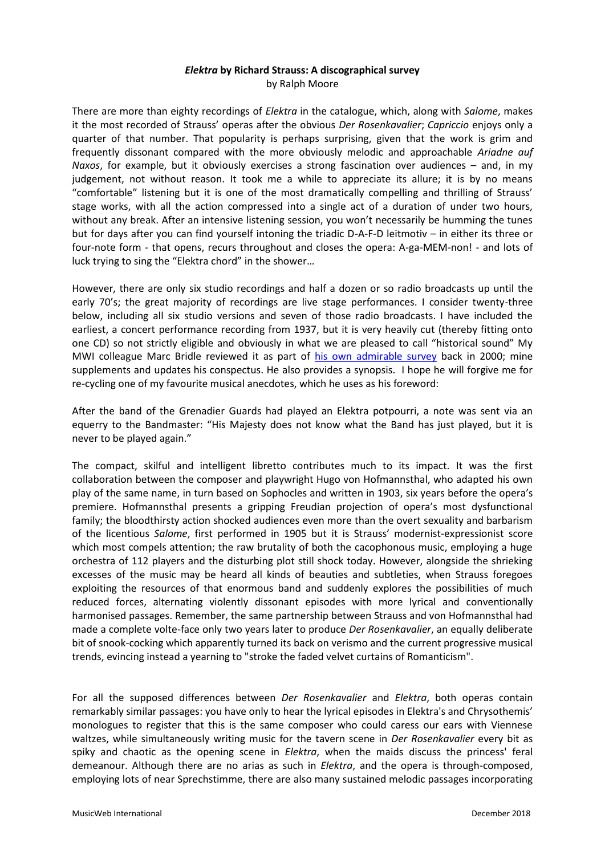# *Elektra* **by Richard Strauss: A discographical survey** by Ralph Moore

There are more than eighty recordings of *Elektra* in the catalogue, which, along with *Salome*, makes it the most recorded of Strauss' operas after the obvious *Der Rosenkavalier*; *Capriccio* enjoys only a quarter of that number. That popularity is perhaps surprising, given that the work is grim and frequently dissonant compared with the more obviously melodic and approachable *Ariadne auf Naxos*, for example, but it obviously exercises a strong fascination over audiences – and, in my judgement, not without reason. It took me a while to appreciate its allure; it is by no means "comfortable" listening but it is one of the most dramatically compelling and thrilling of Strauss' stage works, with all the action compressed into a single act of a duration of under two hours, without any break. After an intensive listening session, you won't necessarily be humming the tunes but for days after you can find yourself intoning the triadic D-A-F-D leitmotiv – in either its three or four-note form - that opens, recurs throughout and closes the opera: A-ga-MEM-non! - and lots of luck trying to sing the "Elektra chord" in the shower…

However, there are only six studio recordings and half a dozen or so radio broadcasts up until the early 70's; the great majority of recordings are live stage performances. I consider twenty-three below, including all six studio versions and seven of those radio broadcasts. I have included the earliest, a concert performance recording from 1937, but it is very heavily cut (thereby fitting onto one CD) so not strictly eligible and obviously in what we are pleased to call "historical sound" My MWI colleague Marc Bridle reviewed it as part of [his own admirable survey](http://www.musicweb-international.com/classrev/2000/july00/elektra.htm) back in 2000; mine supplements and updates his conspectus. He also provides a synopsis. I hope he will forgive me for re-cycling one of my favourite musical anecdotes, which he uses as his foreword:

After the band of the Grenadier Guards had played an Elektra potpourri, a note was sent via an equerry to the Bandmaster: "His Majesty does not know what the Band has just played, but it is never to be played again."

The compact, skilful and intelligent libretto contributes much to its impact. It was the first collaboration between the composer and playwright Hugo von Hofmannsthal, who adapted his own play of the same name, in turn based on Sophocles and written in 1903, six years before the opera's premiere. Hofmannsthal presents a gripping Freudian projection of opera's most dysfunctional family; the bloodthirsty action shocked audiences even more than the overt sexuality and barbarism of the licentious *Salome*, first performed in 1905 but it is Strauss' modernist-expressionist score which most compels attention; the raw brutality of both the cacophonous music, employing a huge orchestra of 112 players and the disturbing plot still shock today. However, alongside the shrieking excesses of the music may be heard all kinds of beauties and subtleties, when Strauss foregoes exploiting the resources of that enormous band and suddenly explores the possibilities of much reduced forces, alternating violently dissonant episodes with more lyrical and conventionally harmonised passages. Remember, the same partnership between Strauss and von Hofmannsthal had made a complete volte-face only two years later to produce *Der Rosenkavalier*, an equally deliberate bit of snook-cocking which apparently turned its back on verismo and the current progressive musical trends, evincing instead a yearning to "stroke the faded velvet curtains of Romanticism".

For all the supposed differences between *Der Rosenkavalier* and *Elektra*, both operas contain remarkably similar passages: you have only to hear the lyrical episodes in Elektra's and Chrysothemis' monologues to register that this is the same composer who could caress our ears with Viennese waltzes, while simultaneously writing music for the tavern scene in *Der Rosenkavalier* every bit as spiky and chaotic as the opening scene in *Elektra*, when the maids discuss the princess' feral demeanour. Although there are no arias as such in *Elektra*, and the opera is through-composed, employing lots of near Sprechstimme, there are also many sustained melodic passages incorporating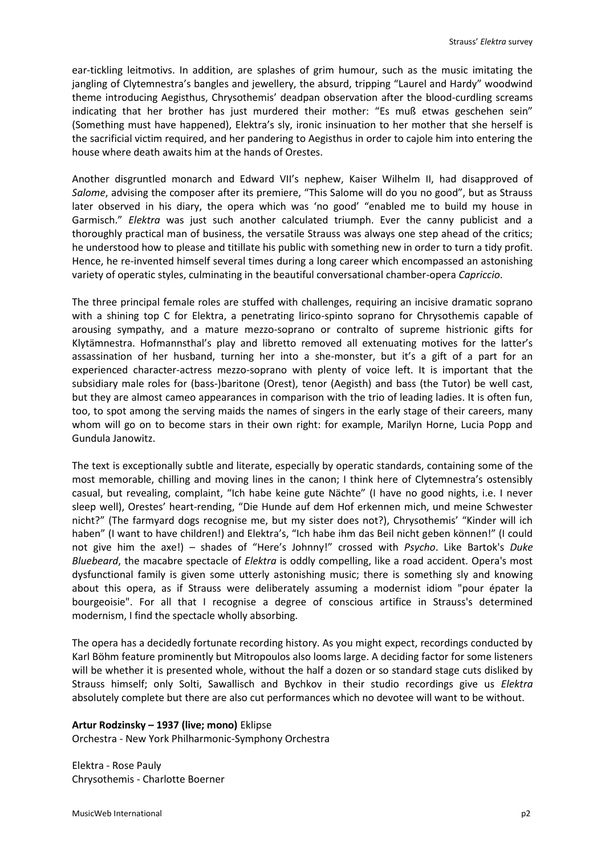ear-tickling leitmotivs. In addition, are splashes of grim humour, such as the music imitating the jangling of Clytemnestra's bangles and jewellery, the absurd, tripping "Laurel and Hardy" woodwind theme introducing Aegisthus, Chrysothemis' deadpan observation after the blood-curdling screams indicating that her brother has just murdered their mother: "Es muß etwas geschehen sein" (Something must have happened), Elektra's sly, ironic insinuation to her mother that she herself is the sacrificial victim required, and her pandering to Aegisthus in order to cajole him into entering the house where death awaits him at the hands of Orestes.

Another disgruntled monarch and Edward VII's nephew, Kaiser Wilhelm II, had disapproved of *Salome*, advising the composer after its premiere, "This Salome will do you no good", but as Strauss later observed in his diary, the opera which was 'no good' "enabled me to build my house in Garmisch." *Elektra* was just such another calculated triumph. Ever the canny publicist and a thoroughly practical man of business, the versatile Strauss was always one step ahead of the critics; he understood how to please and titillate his public with something new in order to turn a tidy profit. Hence, he re-invented himself several times during a long career which encompassed an astonishing variety of operatic styles, culminating in the beautiful conversational chamber-opera *Capriccio*.

The three principal female roles are stuffed with challenges, requiring an incisive dramatic soprano with a shining top C for Elektra, a penetrating lirico-spinto soprano for Chrysothemis capable of arousing sympathy, and a mature mezzo-soprano or contralto of supreme histrionic gifts for Klytämnestra. Hofmannsthal's play and libretto removed all extenuating motives for the latter's assassination of her husband, turning her into a she-monster, but it's a gift of a part for an experienced character-actress mezzo-soprano with plenty of voice left. It is important that the subsidiary male roles for (bass-)baritone (Orest), tenor (Aegisth) and bass (the Tutor) be well cast, but they are almost cameo appearances in comparison with the trio of leading ladies. It is often fun, too, to spot among the serving maids the names of singers in the early stage of their careers, many whom will go on to become stars in their own right: for example, Marilyn Horne, Lucia Popp and Gundula Janowitz.

The text is exceptionally subtle and literate, especially by operatic standards, containing some of the most memorable, chilling and moving lines in the canon; I think here of Clytemnestra's ostensibly casual, but revealing, complaint, "Ich habe keine gute Nächte" (I have no good nights, i.e. I never sleep well), Orestes' heart-rending, "Die Hunde auf dem Hof erkennen mich, und meine Schwester nicht?" (The farmyard dogs recognise me, but my sister does not?), Chrysothemis' "Kinder will ich haben" (I want to have children!) and Elektra's, "Ich habe ihm das Beil nicht geben können!" (I could not give him the axe!) – shades of "Here's Johnny!" crossed with *Psycho*. Like Bartok's *Duke Bluebeard*, the macabre spectacle of *Elektra* is oddly compelling, like a road accident. Opera's most dysfunctional family is given some utterly astonishing music; there is something sly and knowing about this opera, as if Strauss were deliberately assuming a modernist idiom "pour épater la bourgeoisie". For all that I recognise a degree of conscious artifice in Strauss's determined modernism, I find the spectacle wholly absorbing.

The opera has a decidedly fortunate recording history. As you might expect, recordings conducted by Karl Böhm feature prominently but Mitropoulos also looms large. A deciding factor for some listeners will be whether it is presented whole, without the half a dozen or so standard stage cuts disliked by Strauss himself; only Solti, Sawallisch and Bychkov in their studio recordings give us *Elektra* absolutely complete but there are also cut performances which no devotee will want to be without.

# **Artur Rodzinsky – 1937 (live; mono)** Eklipse

Orchestra - New York Philharmonic-Symphony Orchestra

Elektra - Rose Pauly Chrysothemis - Charlotte Boerner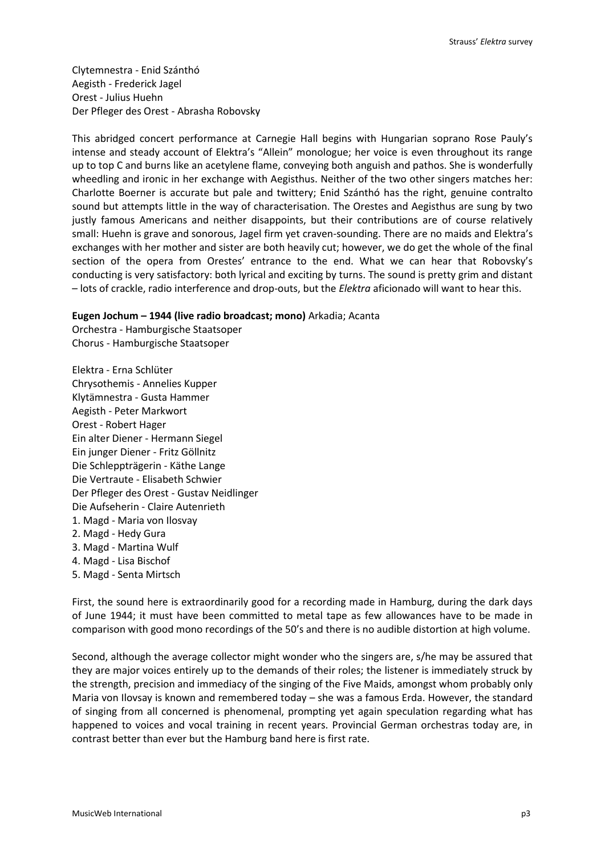Clytemnestra - Enid Szánthó Aegisth - Frederick Jagel Orest - Julius Huehn Der Pfleger des Orest - Abrasha Robovsky

This abridged concert performance at Carnegie Hall begins with Hungarian soprano Rose Pauly's intense and steady account of Elektra's "Allein" monologue; her voice is even throughout its range up to top C and burns like an acetylene flame, conveying both anguish and pathos. She is wonderfully wheedling and ironic in her exchange with Aegisthus. Neither of the two other singers matches her: Charlotte Boerner is accurate but pale and twittery; Enid Szánthó has the right, genuine contralto sound but attempts little in the way of characterisation. The Orestes and Aegisthus are sung by two justly famous Americans and neither disappoints, but their contributions are of course relatively small: Huehn is grave and sonorous, Jagel firm yet craven-sounding. There are no maids and Elektra's exchanges with her mother and sister are both heavily cut; however, we do get the whole of the final section of the opera from Orestes' entrance to the end. What we can hear that Robovsky's conducting is very satisfactory: both lyrical and exciting by turns. The sound is pretty grim and distant – lots of crackle, radio interference and drop-outs, but the *Elektra* aficionado will want to hear this.

# **Eugen Jochum – 1944 (live radio broadcast; mono)** Arkadia; Acanta

Orchestra - Hamburgische Staatsoper Chorus - Hamburgische Staatsoper

Elektra - Erna Schlüter Chrysothemis - Annelies Kupper Klytämnestra - Gusta Hammer Aegisth - Peter Markwort Orest - Robert Hager Ein alter Diener - Hermann Siegel Ein junger Diener - Fritz Göllnitz Die Schleppträgerin - Käthe Lange Die Vertraute - Elisabeth Schwier Der Pfleger des Orest - Gustav Neidlinger Die Aufseherin - Claire Autenrieth 1. Magd - Maria von Ilosvay 2. Magd - Hedy Gura 3. Magd - Martina Wulf 4. Magd - Lisa Bischof 5. Magd - Senta Mirtsch

First, the sound here is extraordinarily good for a recording made in Hamburg, during the dark days of June 1944; it must have been committed to metal tape as few allowances have to be made in comparison with good mono recordings of the 50's and there is no audible distortion at high volume.

Second, although the average collector might wonder who the singers are, s/he may be assured that they are major voices entirely up to the demands of their roles; the listener is immediately struck by the strength, precision and immediacy of the singing of the Five Maids, amongst whom probably only Maria von Ilovsay is known and remembered today – she was a famous Erda. However, the standard of singing from all concerned is phenomenal, prompting yet again speculation regarding what has happened to voices and vocal training in recent years. Provincial German orchestras today are, in contrast better than ever but the Hamburg band here is first rate.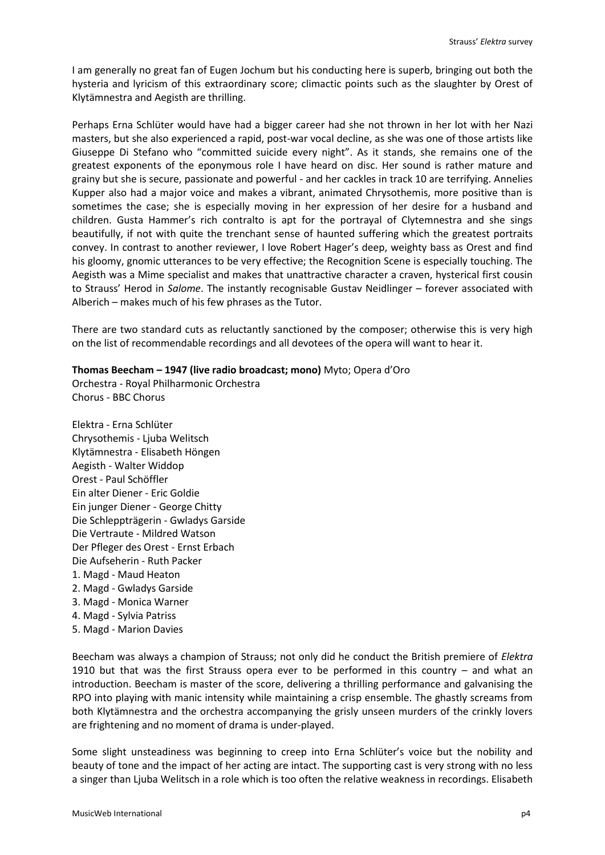I am generally no great fan of Eugen Jochum but his conducting here is superb, bringing out both the hysteria and lyricism of this extraordinary score; climactic points such as the slaughter by Orest of Klytämnestra and Aegisth are thrilling.

Perhaps Erna Schlüter would have had a bigger career had she not thrown in her lot with her Nazi masters, but she also experienced a rapid, post-war vocal decline, as she was one of those artists like Giuseppe Di Stefano who "committed suicide every night". As it stands, she remains one of the greatest exponents of the eponymous role I have heard on disc. Her sound is rather mature and grainy but she is secure, passionate and powerful - and her cackles in track 10 are terrifying. Annelies Kupper also had a major voice and makes a vibrant, animated Chrysothemis, more positive than is sometimes the case; she is especially moving in her expression of her desire for a husband and children. Gusta Hammer's rich contralto is apt for the portrayal of Clytemnestra and she sings beautifully, if not with quite the trenchant sense of haunted suffering which the greatest portraits convey. In contrast to another reviewer, I love Robert Hager's deep, weighty bass as Orest and find his gloomy, gnomic utterances to be very effective; the Recognition Scene is especially touching. The Aegisth was a Mime specialist and makes that unattractive character a craven, hysterical first cousin to Strauss' Herod in *Salome*. The instantly recognisable Gustav Neidlinger – forever associated with Alberich – makes much of his few phrases as the Tutor.

There are two standard cuts as reluctantly sanctioned by the composer; otherwise this is very high on the list of recommendable recordings and all devotees of the opera will want to hear it.

# **Thomas Beecham – 1947 (live radio broadcast; mono)** Myto; Opera d'Oro

Orchestra - Royal Philharmonic Orchestra Chorus - BBC Chorus

- Elektra Erna Schlüter Chrysothemis - Ljuba Welitsch Klytämnestra - Elisabeth Höngen Aegisth - Walter Widdop Orest - Paul Schöffler Ein alter Diener - Eric Goldie Ein junger Diener - George Chitty Die Schleppträgerin - Gwladys Garside Die Vertraute - Mildred Watson Der Pfleger des Orest - Ernst Erbach Die Aufseherin - Ruth Packer 1. Magd - Maud Heaton 2. Magd - Gwladys Garside 3. Magd - Monica Warner 4. Magd - Sylvia Patriss
- 5. Magd Marion Davies

Beecham was always a champion of Strauss; not only did he conduct the British premiere of *Elektra* 1910 but that was the first Strauss opera ever to be performed in this country – and what an introduction. Beecham is master of the score, delivering a thrilling performance and galvanising the RPO into playing with manic intensity while maintaining a crisp ensemble. The ghastly screams from both Klytämnestra and the orchestra accompanying the grisly unseen murders of the crinkly lovers are frightening and no moment of drama is under-played.

Some slight unsteadiness was beginning to creep into Erna Schlüter's voice but the nobility and beauty of tone and the impact of her acting are intact. The supporting cast is very strong with no less a singer than Ljuba Welitsch in a role which is too often the relative weakness in recordings. Elisabeth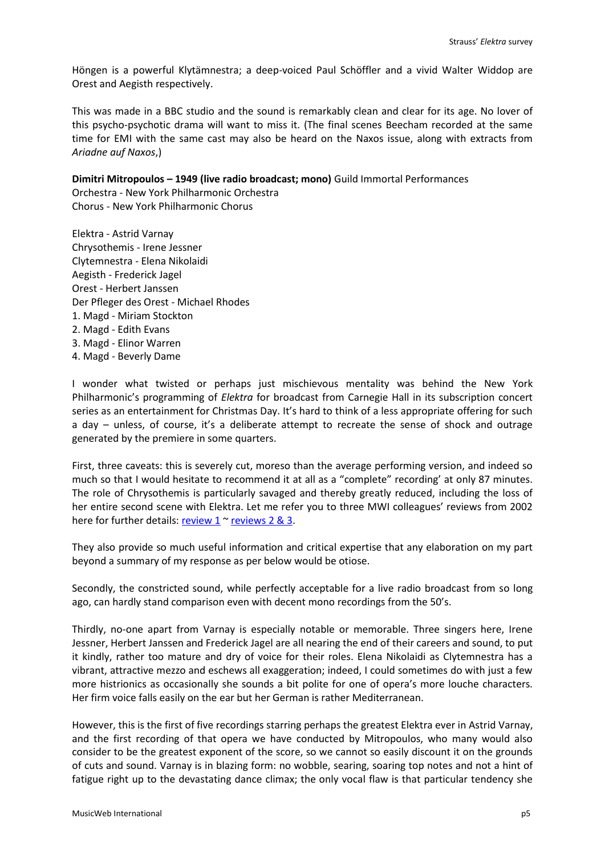Höngen is a powerful Klytämnestra; a deep-voiced Paul Schöffler and a vivid Walter Widdop are Orest and Aegisth respectively.

This was made in a BBC studio and the sound is remarkably clean and clear for its age. No lover of this psycho-psychotic drama will want to miss it. (The final scenes Beecham recorded at the same time for EMI with the same cast may also be heard on the Naxos issue, along with extracts from *Ariadne auf Naxos*,)

# **Dimitri Mitropoulos – 1949 (live radio broadcast; mono)** Guild Immortal Performances

Orchestra - New York Philharmonic Orchestra Chorus - New York Philharmonic Chorus

Elektra - Astrid Varnay Chrysothemis - Irene Jessner Clytemnestra - Elena Nikolaidi Aegisth - Frederick Jagel Orest - Herbert Janssen Der Pfleger des Orest - Michael Rhodes 1. Magd - Miriam Stockton 2. Magd - Edith Evans 3. Magd - Elinor Warren 4. Magd - Beverly Dame

I wonder what twisted or perhaps just mischievous mentality was behind the New York Philharmonic's programming of *Elektra* for broadcast from Carnegie Hall in its subscription concert series as an entertainment for Christmas Day. It's hard to think of a less appropriate offering for such a day – unless, of course, it's a deliberate attempt to recreate the sense of shock and outrage generated by the premiere in some quarters.

First, three caveats: this is severely cut, moreso than the average performing version, and indeed so much so that I would hesitate to recommend it at all as a "complete" recording' at only 87 minutes. The role of Chrysothemis is particularly savaged and thereby greatly reduced, including the loss of her entire second scene with Elektra. Let me refer you to three MWI colleagues' reviews from 2002 here for further details[: review 1](http://www.musicweb-international.com/classrev/2002/July02/Strauss_Elektra.htm) [~ reviews 2 & 3.](http://www.musicweb-international.com/classrev/2002/July02/Strauss_Elektra2.htm)

They also provide so much useful information and critical expertise that any elaboration on my part beyond a summary of my response as per below would be otiose.

Secondly, the constricted sound, while perfectly acceptable for a live radio broadcast from so long ago, can hardly stand comparison even with decent mono recordings from the 50's.

Thirdly, no-one apart from Varnay is especially notable or memorable. Three singers here, Irene Jessner, Herbert Janssen and Frederick Jagel are all nearing the end of their careers and sound, to put it kindly, rather too mature and dry of voice for their roles. Elena Nikolaidi as Clytemnestra has a vibrant, attractive mezzo and eschews all exaggeration; indeed, I could sometimes do with just a few more histrionics as occasionally she sounds a bit polite for one of opera's more louche characters. Her firm voice falls easily on the ear but her German is rather Mediterranean.

However, this is the first of five recordings starring perhaps the greatest Elektra ever in Astrid Varnay, and the first recording of that opera we have conducted by Mitropoulos, who many would also consider to be the greatest exponent of the score, so we cannot so easily discount it on the grounds of cuts and sound. Varnay is in blazing form: no wobble, searing, soaring top notes and not a hint of fatigue right up to the devastating dance climax; the only vocal flaw is that particular tendency she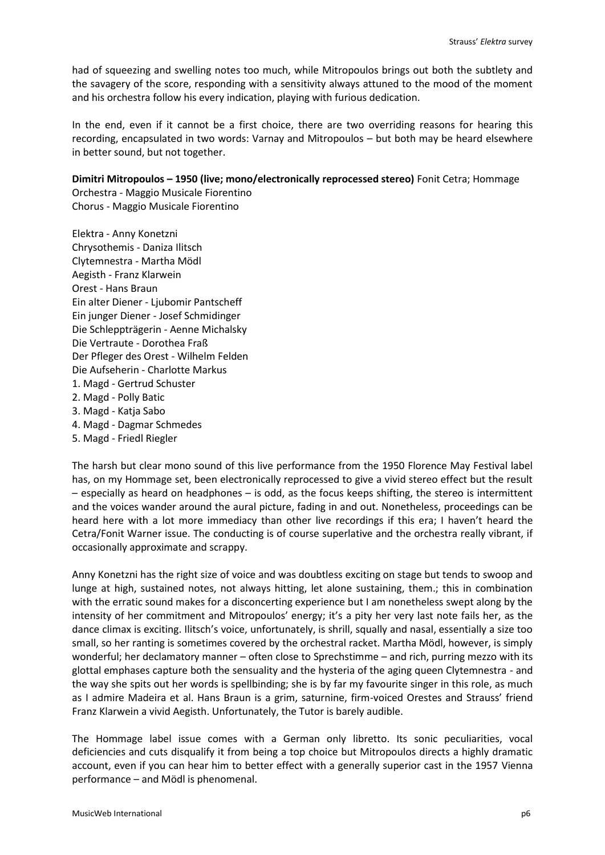had of squeezing and swelling notes too much, while Mitropoulos brings out both the subtlety and the savagery of the score, responding with a sensitivity always attuned to the mood of the moment and his orchestra follow his every indication, playing with furious dedication.

In the end, even if it cannot be a first choice, there are two overriding reasons for hearing this recording, encapsulated in two words: Varnay and Mitropoulos – but both may be heard elsewhere in better sound, but not together.

# **Dimitri Mitropoulos – 1950 (live; mono/electronically reprocessed stereo)** Fonit Cetra; Hommage

Orchestra - Maggio Musicale Fiorentino Chorus - Maggio Musicale Fiorentino

Elektra - Anny Konetzni Chrysothemis - Daniza Ilitsch Clytemnestra - Martha Mödl Aegisth - Franz Klarwein Orest - Hans Braun Ein alter Diener - Ljubomir Pantscheff Ein junger Diener - Josef Schmidinger Die Schleppträgerin - Aenne Michalsky Die Vertraute - Dorothea Fraß Der Pfleger des Orest - Wilhelm Felden Die Aufseherin - Charlotte Markus 1. Magd - Gertrud Schuster 2. Magd - Polly Batic 3. Magd - Katja Sabo 4. Magd - Dagmar Schmedes

5. Magd - Friedl Riegler

The harsh but clear mono sound of this live performance from the 1950 Florence May Festival label has, on my Hommage set, been electronically reprocessed to give a vivid stereo effect but the result – especially as heard on headphones – is odd, as the focus keeps shifting, the stereo is intermittent and the voices wander around the aural picture, fading in and out. Nonetheless, proceedings can be heard here with a lot more immediacy than other live recordings if this era; I haven't heard the Cetra/Fonit Warner issue. The conducting is of course superlative and the orchestra really vibrant, if occasionally approximate and scrappy.

Anny Konetzni has the right size of voice and was doubtless exciting on stage but tends to swoop and lunge at high, sustained notes, not always hitting, let alone sustaining, them.; this in combination with the erratic sound makes for a disconcerting experience but I am nonetheless swept along by the intensity of her commitment and Mitropoulos' energy; it's a pity her very last note fails her, as the dance climax is exciting. Ilitsch's voice, unfortunately, is shrill, squally and nasal, essentially a size too small, so her ranting is sometimes covered by the orchestral racket. Martha Mödl, however, is simply wonderful; her declamatory manner – often close to Sprechstimme – and rich, purring mezzo with its glottal emphases capture both the sensuality and the hysteria of the aging queen Clytemnestra - and the way she spits out her words is spellbinding; she is by far my favourite singer in this role, as much as I admire Madeira et al. Hans Braun is a grim, saturnine, firm-voiced Orestes and Strauss' friend Franz Klarwein a vivid Aegisth. Unfortunately, the Tutor is barely audible.

The Hommage label issue comes with a German only libretto. Its sonic peculiarities, vocal deficiencies and cuts disqualify it from being a top choice but Mitropoulos directs a highly dramatic account, even if you can hear him to better effect with a generally superior cast in the 1957 Vienna performance – and Mödl is phenomenal.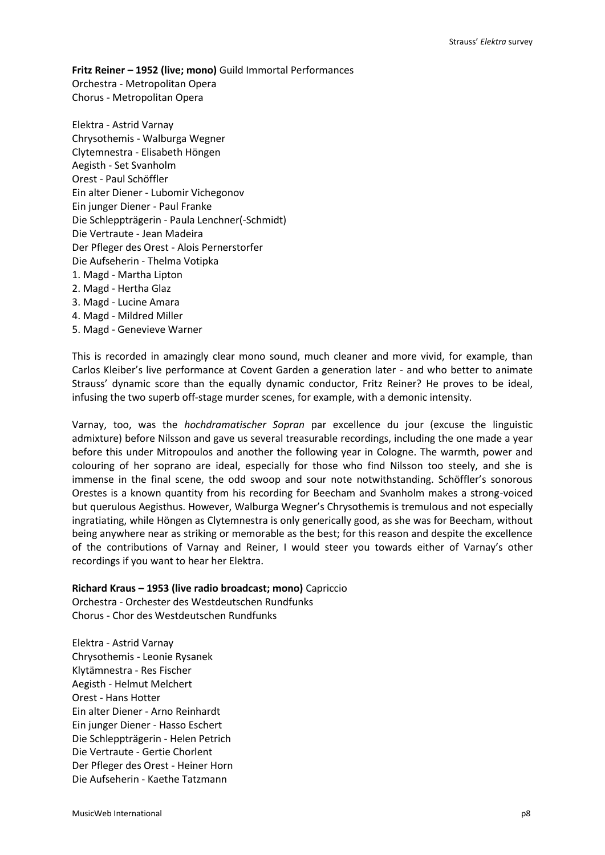**Fritz Reiner – 1952 (live; mono)** Guild Immortal Performances Orchestra - Metropolitan Opera Chorus - Metropolitan Opera

Elektra - Astrid Varnay Chrysothemis - Walburga Wegner Clytemnestra - Elisabeth Höngen Aegisth - Set Svanholm Orest - Paul Schöffler Ein alter Diener - Lubomir Vichegonov Ein junger Diener - Paul Franke Die Schleppträgerin - Paula Lenchner(-Schmidt) Die Vertraute - Jean Madeira Der Pfleger des Orest - Alois Pernerstorfer Die Aufseherin - Thelma Votipka 1. Magd - Martha Lipton 2. Magd - Hertha Glaz 3. Magd - Lucine Amara 4. Magd - Mildred Miller 5. Magd - Genevieve Warner

This is recorded in amazingly clear mono sound, much cleaner and more vivid, for example, than Carlos Kleiber's live performance at Covent Garden a generation later - and who better to animate Strauss' dynamic score than the equally dynamic conductor, Fritz Reiner? He proves to be ideal, infusing the two superb off-stage murder scenes, for example, with a demonic intensity.

Varnay, too, was the *hochdramatischer Sopran* par excellence du jour (excuse the linguistic admixture) before Nilsson and gave us several treasurable recordings, including the one made a year before this under Mitropoulos and another the following year in Cologne. The warmth, power and colouring of her soprano are ideal, especially for those who find Nilsson too steely, and she is immense in the final scene, the odd swoop and sour note notwithstanding. Schöffler's sonorous Orestes is a known quantity from his recording for Beecham and Svanholm makes a strong-voiced but querulous Aegisthus. However, Walburga Wegner's Chrysothemis is tremulous and not especially ingratiating, while Höngen as Clytemnestra is only generically good, as she was for Beecham, without being anywhere near as striking or memorable as the best; for this reason and despite the excellence of the contributions of Varnay and Reiner, I would steer you towards either of Varnay's other recordings if you want to hear her Elektra.

# **Richard Kraus – 1953 (live radio broadcast; mono)** Capriccio

Orchestra - Orchester des Westdeutschen Rundfunks Chorus - Chor des Westdeutschen Rundfunks

Elektra - Astrid Varnay Chrysothemis - Leonie Rysanek Klytämnestra - Res Fischer Aegisth - Helmut Melchert Orest - Hans Hotter Ein alter Diener - Arno Reinhardt Ein junger Diener - Hasso Eschert Die Schleppträgerin - Helen Petrich Die Vertraute - Gertie Chorlent Der Pfleger des Orest - Heiner Horn Die Aufseherin - Kaethe Tatzmann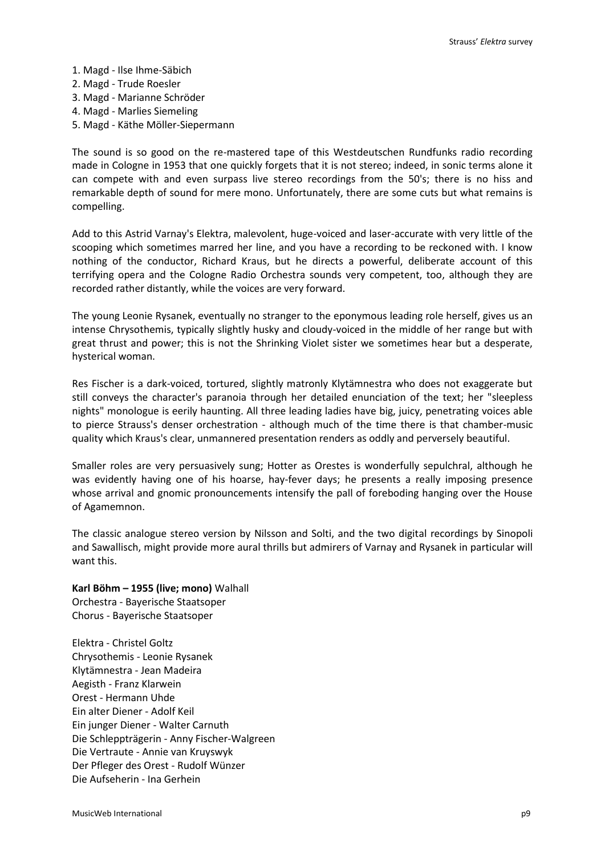- 1. Magd Ilse Ihme-Säbich
- 2. Magd Trude Roesler
- 3. Magd Marianne Schröder
- 4. Magd Marlies Siemeling
- 5. Magd Käthe Möller-Siepermann

The sound is so good on the re-mastered tape of this Westdeutschen Rundfunks radio recording made in Cologne in 1953 that one quickly forgets that it is not stereo; indeed, in sonic terms alone it can compete with and even surpass live stereo recordings from the 50's; there is no hiss and remarkable depth of sound for mere mono. Unfortunately, there are some cuts but what remains is compelling.

Add to this Astrid Varnay's Elektra, malevolent, huge-voiced and laser-accurate with very little of the scooping which sometimes marred her line, and you have a recording to be reckoned with. I know nothing of the conductor, Richard Kraus, but he directs a powerful, deliberate account of this terrifying opera and the Cologne Radio Orchestra sounds very competent, too, although they are recorded rather distantly, while the voices are very forward.

The young Leonie Rysanek, eventually no stranger to the eponymous leading role herself, gives us an intense Chrysothemis, typically slightly husky and cloudy-voiced in the middle of her range but with great thrust and power; this is not the Shrinking Violet sister we sometimes hear but a desperate, hysterical woman.

Res Fischer is a dark-voiced, tortured, slightly matronly Klytämnestra who does not exaggerate but still conveys the character's paranoia through her detailed enunciation of the text; her "sleepless nights" monologue is eerily haunting. All three leading ladies have big, juicy, penetrating voices able to pierce Strauss's denser orchestration - although much of the time there is that chamber-music quality which Kraus's clear, unmannered presentation renders as oddly and perversely beautiful.

Smaller roles are very persuasively sung; Hotter as Orestes is wonderfully sepulchral, although he was evidently having one of his hoarse, hay-fever days; he presents a really imposing presence whose arrival and gnomic pronouncements intensify the pall of foreboding hanging over the House of Agamemnon.

The classic analogue stereo version by Nilsson and Solti, and the two digital recordings by Sinopoli and Sawallisch, might provide more aural thrills but admirers of Varnay and Rysanek in particular will want this.

# **Karl Böhm – 1955 (live; mono)** Walhall

Orchestra - Bayerische Staatsoper Chorus - Bayerische Staatsoper

Elektra - Christel Goltz Chrysothemis - Leonie Rysanek Klytämnestra - Jean Madeira Aegisth - Franz Klarwein Orest - Hermann Uhde Ein alter Diener - Adolf Keil Ein junger Diener - Walter Carnuth Die Schleppträgerin - Anny Fischer-Walgreen Die Vertraute - Annie van Kruyswyk Der Pfleger des Orest - Rudolf Wünzer Die Aufseherin - Ina Gerhein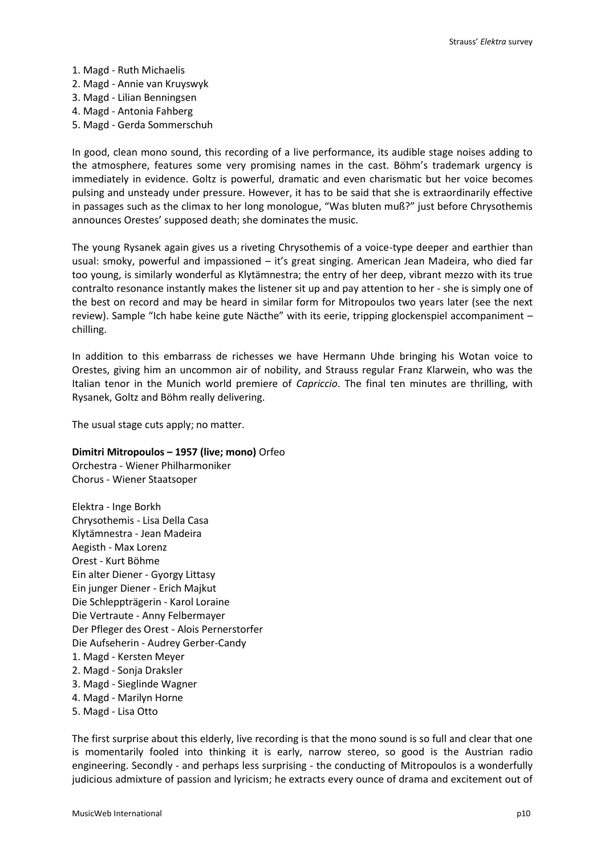- 1. Magd Ruth Michaelis
- 2. Magd Annie van Kruyswyk
- 3. Magd Lilian Benningsen
- 4. Magd Antonia Fahberg
- 5. Magd Gerda Sommerschuh

In good, clean mono sound, this recording of a live performance, its audible stage noises adding to the atmosphere, features some very promising names in the cast. Böhm's trademark urgency is immediately in evidence. Goltz is powerful, dramatic and even charismatic but her voice becomes pulsing and unsteady under pressure. However, it has to be said that she is extraordinarily effective in passages such as the climax to her long monologue, "Was bluten muß?" just before Chrysothemis announces Orestes' supposed death; she dominates the music.

The young Rysanek again gives us a riveting Chrysothemis of a voice-type deeper and earthier than usual: smoky, powerful and impassioned – it's great singing. American Jean Madeira, who died far too young, is similarly wonderful as Klytämnestra; the entry of her deep, vibrant mezzo with its true contralto resonance instantly makes the listener sit up and pay attention to her - she is simply one of the best on record and may be heard in similar form for Mitropoulos two years later (see the next review). Sample "Ich habe keine gute Näcthe" with its eerie, tripping glockenspiel accompaniment chilling.

In addition to this embarrass de richesses we have Hermann Uhde bringing his Wotan voice to Orestes, giving him an uncommon air of nobility, and Strauss regular Franz Klarwein, who was the Italian tenor in the Munich world premiere of *Capriccio*. The final ten minutes are thrilling, with Rysanek, Goltz and Böhm really delivering.

The usual stage cuts apply; no matter.

# **Dimitri Mitropoulos – 1957 (live; mono)** Orfeo

Orchestra - Wiener Philharmoniker Chorus - Wiener Staatsoper

Elektra - Inge Borkh Chrysothemis - Lisa Della Casa Klytämnestra - Jean Madeira Aegisth - Max Lorenz Orest - Kurt Böhme Ein alter Diener - Gyorgy Littasy Ein junger Diener - Erich Majkut Die Schleppträgerin - Karol Loraine Die Vertraute - Anny Felbermayer Der Pfleger des Orest - Alois Pernerstorfer Die Aufseherin - Audrey Gerber-Candy 1. Magd - Kersten Meyer 2. Magd - Sonja Draksler 3. Magd - Sieglinde Wagner 4. Magd - Marilyn Horne

5. Magd - Lisa Otto

The first surprise about this elderly, live recording is that the mono sound is so full and clear that one is momentarily fooled into thinking it is early, narrow stereo, so good is the Austrian radio engineering. Secondly - and perhaps less surprising - the conducting of Mitropoulos is a wonderfully judicious admixture of passion and lyricism; he extracts every ounce of drama and excitement out of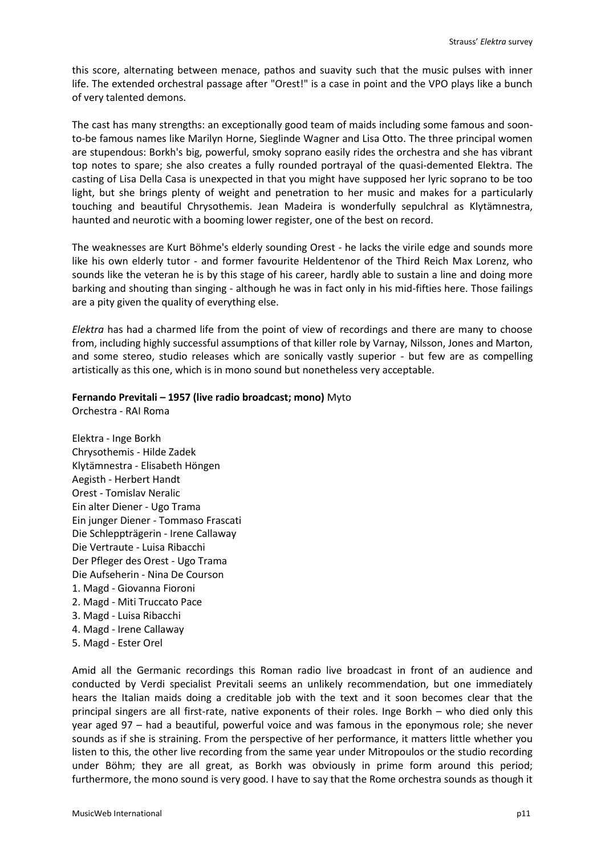this score, alternating between menace, pathos and suavity such that the music pulses with inner life. The extended orchestral passage after "Orest!" is a case in point and the VPO plays like a bunch of very talented demons.

The cast has many strengths: an exceptionally good team of maids including some famous and soonto-be famous names like Marilyn Horne, Sieglinde Wagner and Lisa Otto. The three principal women are stupendous: Borkh's big, powerful, smoky soprano easily rides the orchestra and she has vibrant top notes to spare; she also creates a fully rounded portrayal of the quasi-demented Elektra. The casting of Lisa Della Casa is unexpected in that you might have supposed her lyric soprano to be too light, but she brings plenty of weight and penetration to her music and makes for a particularly touching and beautiful Chrysothemis. Jean Madeira is wonderfully sepulchral as Klytämnestra, haunted and neurotic with a booming lower register, one of the best on record.

The weaknesses are Kurt Böhme's elderly sounding Orest - he lacks the virile edge and sounds more like his own elderly tutor - and former favourite Heldentenor of the Third Reich Max Lorenz, who sounds like the veteran he is by this stage of his career, hardly able to sustain a line and doing more barking and shouting than singing - although he was in fact only in his mid-fifties here. Those failings are a pity given the quality of everything else.

*Elektra* has had a charmed life from the point of view of recordings and there are many to choose from, including highly successful assumptions of that killer role by Varnay, Nilsson, Jones and Marton, and some stereo, studio releases which are sonically vastly superior - but few are as compelling artistically as this one, which is in mono sound but nonetheless very acceptable.

# **Fernando Previtali – 1957 (live radio broadcast; mono)** Myto

Orchestra - RAI Roma

Elektra - Inge Borkh Chrysothemis - Hilde Zadek Klytämnestra - Elisabeth Höngen Aegisth - Herbert Handt Orest - Tomislav Neralic Ein alter Diener - Ugo Trama Ein junger Diener - Tommaso Frascati Die Schleppträgerin - Irene Callaway Die Vertraute - Luisa Ribacchi Der Pfleger des Orest - Ugo Trama Die Aufseherin - Nina De Courson 1. Magd - Giovanna Fioroni 2. Magd - Miti Truccato Pace 3. Magd - Luisa Ribacchi 4. Magd - Irene Callaway 5. Magd - Ester Orel

Amid all the Germanic recordings this Roman radio live broadcast in front of an audience and conducted by Verdi specialist Previtali seems an unlikely recommendation, but one immediately hears the Italian maids doing a creditable job with the text and it soon becomes clear that the principal singers are all first-rate, native exponents of their roles. Inge Borkh – who died only this year aged 97 – had a beautiful, powerful voice and was famous in the eponymous role; she never sounds as if she is straining. From the perspective of her performance, it matters little whether you listen to this, the other live recording from the same year under Mitropoulos or the studio recording under Böhm; they are all great, as Borkh was obviously in prime form around this period; furthermore, the mono sound is very good. I have to say that the Rome orchestra sounds as though it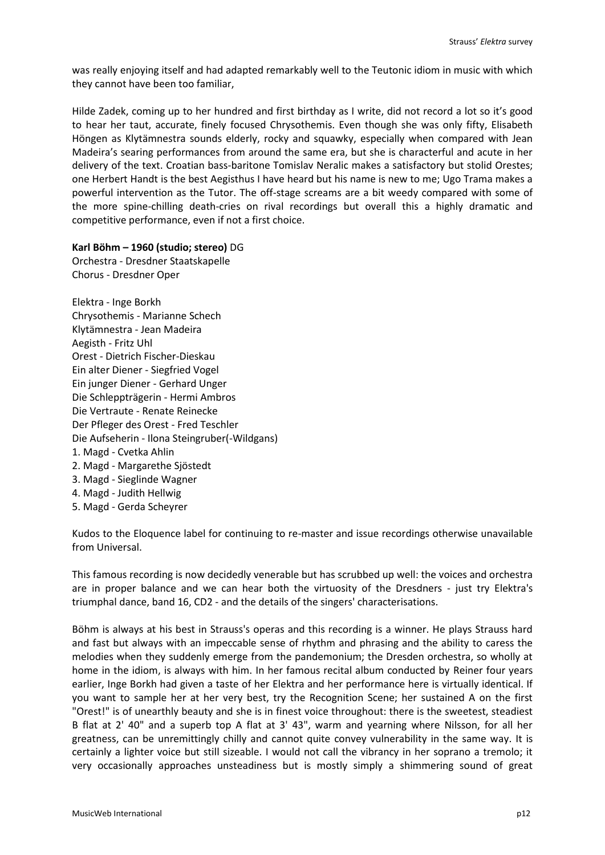was really enjoying itself and had adapted remarkably well to the Teutonic idiom in music with which they cannot have been too familiar,

Hilde Zadek, coming up to her hundred and first birthday as I write, did not record a lot so it's good to hear her taut, accurate, finely focused Chrysothemis. Even though she was only fifty, Elisabeth Höngen as Klytämnestra sounds elderly, rocky and squawky, especially when compared with Jean Madeira's searing performances from around the same era, but she is characterful and acute in her delivery of the text. Croatian bass-baritone Tomislav Neralic makes a satisfactory but stolid Orestes; one Herbert Handt is the best Aegisthus I have heard but his name is new to me; Ugo Trama makes a powerful intervention as the Tutor. The off-stage screams are a bit weedy compared with some of the more spine-chilling death-cries on rival recordings but overall this a highly dramatic and competitive performance, even if not a first choice.

**Karl Böhm – 1960 (studio; stereo)** DG Orchestra - Dresdner Staatskapelle Chorus - Dresdner Oper

Elektra - Inge Borkh Chrysothemis - Marianne Schech Klytämnestra - Jean Madeira Aegisth - Fritz Uhl Orest - Dietrich Fischer-Dieskau Ein alter Diener - Siegfried Vogel Ein junger Diener - Gerhard Unger Die Schleppträgerin - Hermi Ambros Die Vertraute - Renate Reinecke Der Pfleger des Orest - Fred Teschler Die Aufseherin - Ilona Steingruber(-Wildgans) 1. Magd - Cvetka Ahlin 2. Magd - Margarethe Sjöstedt 3. Magd - Sieglinde Wagner 4. Magd - Judith Hellwig 5. Magd - Gerda Scheyrer

Kudos to the Eloquence label for continuing to re-master and issue recordings otherwise unavailable from Universal.

This famous recording is now decidedly venerable but has scrubbed up well: the voices and orchestra are in proper balance and we can hear both the virtuosity of the Dresdners - just try Elektra's triumphal dance, band 16, CD2 - and the details of the singers' characterisations.

Böhm is always at his best in Strauss's operas and this recording is a winner. He plays Strauss hard and fast but always with an impeccable sense of rhythm and phrasing and the ability to caress the melodies when they suddenly emerge from the pandemonium; the Dresden orchestra, so wholly at home in the idiom, is always with him. In her famous recital album conducted by Reiner four years earlier, Inge Borkh had given a taste of her Elektra and her performance here is virtually identical. If you want to sample her at her very best, try the Recognition Scene; her sustained A on the first "Orest!" is of unearthly beauty and she is in finest voice throughout: there is the sweetest, steadiest B flat at 2' 40" and a superb top A flat at 3' 43", warm and yearning where Nilsson, for all her greatness, can be unremittingly chilly and cannot quite convey vulnerability in the same way. It is certainly a lighter voice but still sizeable. I would not call the vibrancy in her soprano a tremolo; it very occasionally approaches unsteadiness but is mostly simply a shimmering sound of great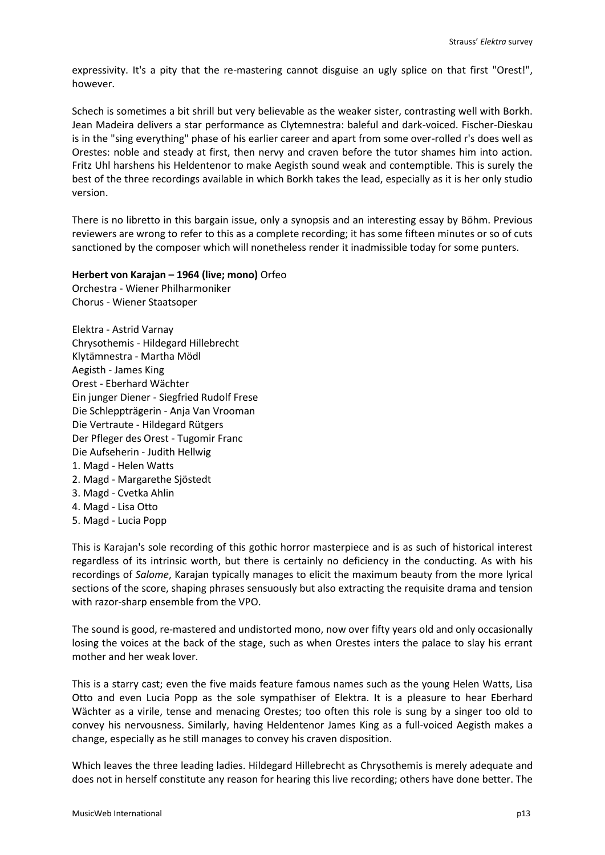expressivity. It's a pity that the re-mastering cannot disguise an ugly splice on that first "Orest!", however.

Schech is sometimes a bit shrill but very believable as the weaker sister, contrasting well with Borkh. Jean Madeira delivers a star performance as Clytemnestra: baleful and dark-voiced. Fischer-Dieskau is in the "sing everything" phase of his earlier career and apart from some over-rolled r's does well as Orestes: noble and steady at first, then nervy and craven before the tutor shames him into action. Fritz Uhl harshens his Heldentenor to make Aegisth sound weak and contemptible. This is surely the best of the three recordings available in which Borkh takes the lead, especially as it is her only studio version.

There is no libretto in this bargain issue, only a synopsis and an interesting essay by Böhm. Previous reviewers are wrong to refer to this as a complete recording; it has some fifteen minutes or so of cuts sanctioned by the composer which will nonetheless render it inadmissible today for some punters.

# **Herbert von Karajan – 1964 (live; mono)** Orfeo

Orchestra - Wiener Philharmoniker Chorus - Wiener Staatsoper

Elektra - Astrid Varnay Chrysothemis - Hildegard Hillebrecht Klytämnestra - Martha Mödl Aegisth - James King Orest - Eberhard Wächter Ein junger Diener - Siegfried Rudolf Frese Die Schleppträgerin - Anja Van Vrooman Die Vertraute - Hildegard Rütgers Der Pfleger des Orest - Tugomir Franc Die Aufseherin - Judith Hellwig 1. Magd - Helen Watts 2. Magd - Margarethe Sjöstedt 3. Magd - Cvetka Ahlin 4. Magd - Lisa Otto 5. Magd - Lucia Popp

This is Karajan's sole recording of this gothic horror masterpiece and is as such of historical interest regardless of its intrinsic worth, but there is certainly no deficiency in the conducting. As with his recordings of *Salome*, Karajan typically manages to elicit the maximum beauty from the more lyrical sections of the score, shaping phrases sensuously but also extracting the requisite drama and tension with razor-sharp ensemble from the VPO.

The sound is good, re-mastered and undistorted mono, now over fifty years old and only occasionally losing the voices at the back of the stage, such as when Orestes inters the palace to slay his errant mother and her weak lover.

This is a starry cast; even the five maids feature famous names such as the young Helen Watts, Lisa Otto and even Lucia Popp as the sole sympathiser of Elektra. It is a pleasure to hear Eberhard Wächter as a virile, tense and menacing Orestes; too often this role is sung by a singer too old to convey his nervousness. Similarly, having Heldentenor James King as a full-voiced Aegisth makes a change, especially as he still manages to convey his craven disposition.

Which leaves the three leading ladies. Hildegard Hillebrecht as Chrysothemis is merely adequate and does not in herself constitute any reason for hearing this live recording; others have done better. The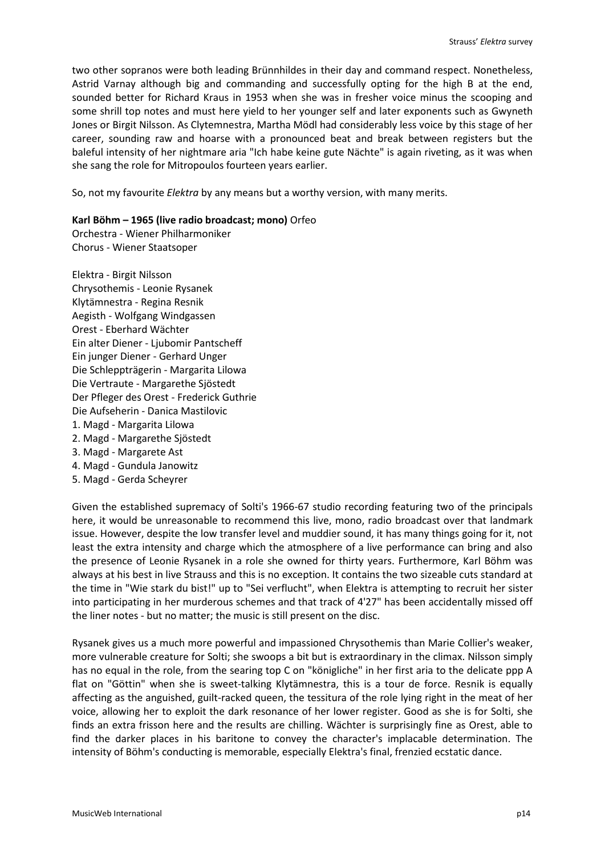two other sopranos were both leading Brünnhildes in their day and command respect. Nonetheless, Astrid Varnay although big and commanding and successfully opting for the high B at the end, sounded better for Richard Kraus in 1953 when she was in fresher voice minus the scooping and some shrill top notes and must here yield to her younger self and later exponents such as Gwyneth Jones or Birgit Nilsson. As Clytemnestra, Martha Mödl had considerably less voice by this stage of her career, sounding raw and hoarse with a pronounced beat and break between registers but the baleful intensity of her nightmare aria "Ich habe keine gute Nächte" is again riveting, as it was when she sang the role for Mitropoulos fourteen years earlier.

So, not my favourite *Elektra* by any means but a worthy version, with many merits.

# **Karl Böhm – 1965 (live radio broadcast; mono)** Orfeo

Orchestra - Wiener Philharmoniker Chorus - Wiener Staatsoper

- Elektra Birgit Nilsson Chrysothemis - Leonie Rysanek Klytämnestra - Regina Resnik Aegisth - Wolfgang Windgassen Orest - Eberhard Wächter Ein alter Diener - Ljubomir Pantscheff Ein junger Diener - Gerhard Unger Die Schleppträgerin - Margarita Lilowa Die Vertraute - Margarethe Sjöstedt Der Pfleger des Orest - Frederick Guthrie Die Aufseherin - Danica Mastilovic 1. Magd - Margarita Lilowa 2. Magd - Margarethe Sjöstedt 3. Magd - Margarete Ast
- 4. Magd Gundula Janowitz
- 5. Magd Gerda Scheyrer

Given the established supremacy of Solti's 1966-67 studio recording featuring two of the principals here, it would be unreasonable to recommend this live, mono, radio broadcast over that landmark issue. However, despite the low transfer level and muddier sound, it has many things going for it, not least the extra intensity and charge which the atmosphere of a live performance can bring and also the presence of Leonie Rysanek in a role she owned for thirty years. Furthermore, Karl Böhm was always at his best in live Strauss and this is no exception. It contains the two sizeable cuts standard at the time in "Wie stark du bist!" up to "Sei verflucht", when Elektra is attempting to recruit her sister into participating in her murderous schemes and that track of 4'27" has been accidentally missed off the liner notes - but no matter; the music is still present on the disc.

Rysanek gives us a much more powerful and impassioned Chrysothemis than Marie Collier's weaker, more vulnerable creature for Solti; she swoops a bit but is extraordinary in the climax. Nilsson simply has no equal in the role, from the searing top C on "königliche" in her first aria to the delicate ppp A flat on "Göttin" when she is sweet-talking Klytämnestra, this is a tour de force. Resnik is equally affecting as the anguished, guilt-racked queen, the tessitura of the role lying right in the meat of her voice, allowing her to exploit the dark resonance of her lower register. Good as she is for Solti, she finds an extra frisson here and the results are chilling. Wächter is surprisingly fine as Orest, able to find the darker places in his baritone to convey the character's implacable determination. The intensity of Böhm's conducting is memorable, especially Elektra's final, frenzied ecstatic dance.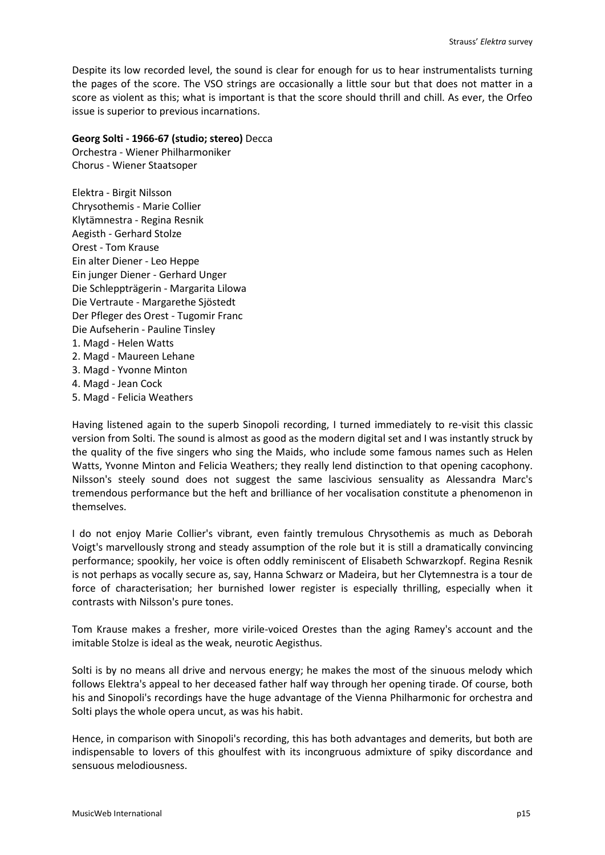Despite its low recorded level, the sound is clear for enough for us to hear instrumentalists turning the pages of the score. The VSO strings are occasionally a little sour but that does not matter in a score as violent as this; what is important is that the score should thrill and chill. As ever, the Orfeo issue is superior to previous incarnations.

# **Georg Solti - 1966-67 (studio; stereo)** Decca

Orchestra - Wiener Philharmoniker Chorus - Wiener Staatsoper

Elektra - Birgit Nilsson Chrysothemis - Marie Collier Klytämnestra - Regina Resnik Aegisth - Gerhard Stolze Orest - Tom Krause Ein alter Diener - Leo Heppe Ein junger Diener - Gerhard Unger Die Schleppträgerin - Margarita Lilowa Die Vertraute - Margarethe Sjöstedt Der Pfleger des Orest - Tugomir Franc Die Aufseherin - Pauline Tinsley 1. Magd - Helen Watts 2. Magd - Maureen Lehane 3. Magd - Yvonne Minton 4. Magd - Jean Cock 5. Magd - Felicia Weathers

Having listened again to the superb Sinopoli recording, I turned immediately to re-visit this classic version from Solti. The sound is almost as good as the modern digital set and I was instantly struck by the quality of the five singers who sing the Maids, who include some famous names such as Helen Watts, Yvonne Minton and Felicia Weathers; they really lend distinction to that opening cacophony. Nilsson's steely sound does not suggest the same lascivious sensuality as Alessandra Marc's tremendous performance but the heft and brilliance of her vocalisation constitute a phenomenon in themselves.

I do not enjoy Marie Collier's vibrant, even faintly tremulous Chrysothemis as much as Deborah Voigt's marvellously strong and steady assumption of the role but it is still a dramatically convincing performance; spookily, her voice is often oddly reminiscent of Elisabeth Schwarzkopf. Regina Resnik is not perhaps as vocally secure as, say, Hanna Schwarz or Madeira, but her Clytemnestra is a tour de force of characterisation; her burnished lower register is especially thrilling, especially when it contrasts with Nilsson's pure tones.

Tom Krause makes a fresher, more virile-voiced Orestes than the aging Ramey's account and the imitable Stolze is ideal as the weak, neurotic Aegisthus.

Solti is by no means all drive and nervous energy; he makes the most of the sinuous melody which follows Elektra's appeal to her deceased father half way through her opening tirade. Of course, both his and Sinopoli's recordings have the huge advantage of the Vienna Philharmonic for orchestra and Solti plays the whole opera uncut, as was his habit.

Hence, in comparison with Sinopoli's recording, this has both advantages and demerits, but both are indispensable to lovers of this ghoulfest with its incongruous admixture of spiky discordance and sensuous melodiousness.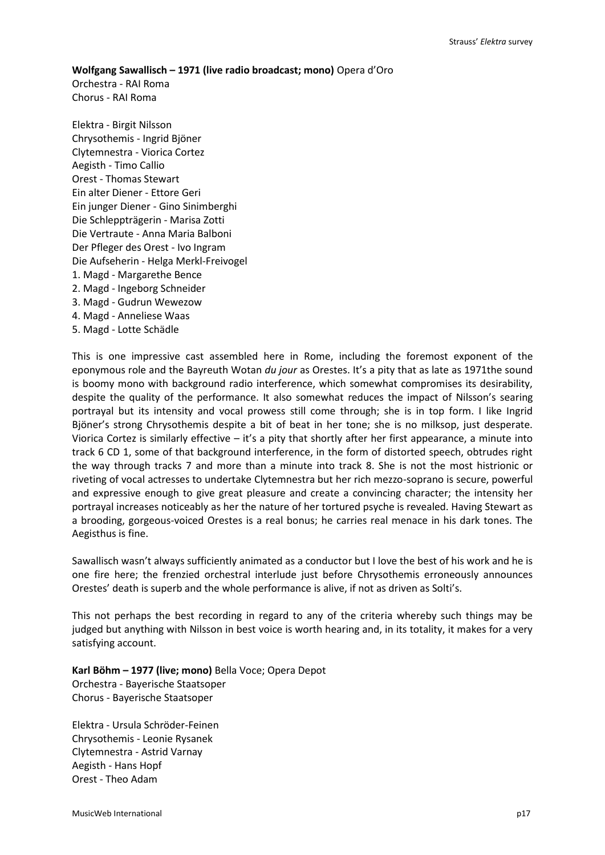#### **Wolfgang Sawallisch – 1971 (live radio broadcast; mono)** Opera d'Oro

Orchestra - RAI Roma Chorus - RAI Roma

Elektra - Birgit Nilsson Chrysothemis - Ingrid Bjöner Clytemnestra - Viorica Cortez Aegisth - Timo Callio Orest - Thomas Stewart Ein alter Diener - Ettore Geri Ein junger Diener - Gino Sinimberghi Die Schleppträgerin - Marisa Zotti Die Vertraute - Anna Maria Balboni Der Pfleger des Orest - Ivo Ingram Die Aufseherin - Helga Merkl-Freivogel 1. Magd - Margarethe Bence 2. Magd - Ingeborg Schneider 3. Magd - Gudrun Wewezow 4. Magd - Anneliese Waas 5. Magd - Lotte Schädle

This is one impressive cast assembled here in Rome, including the foremost exponent of the eponymous role and the Bayreuth Wotan *du jour* as Orestes. It's a pity that as late as 1971the sound is boomy mono with background radio interference, which somewhat compromises its desirability, despite the quality of the performance. It also somewhat reduces the impact of Nilsson's searing portrayal but its intensity and vocal prowess still come through; she is in top form. I like Ingrid Bjöner's strong Chrysothemis despite a bit of beat in her tone; she is no milksop, just desperate. Viorica Cortez is similarly effective – it's a pity that shortly after her first appearance, a minute into track 6 CD 1, some of that background interference, in the form of distorted speech, obtrudes right the way through tracks 7 and more than a minute into track 8. She is not the most histrionic or riveting of vocal actresses to undertake Clytemnestra but her rich mezzo-soprano is secure, powerful and expressive enough to give great pleasure and create a convincing character; the intensity her portrayal increases noticeably as her the nature of her tortured psyche is revealed. Having Stewart as a brooding, gorgeous-voiced Orestes is a real bonus; he carries real menace in his dark tones. The Aegisthus is fine.

Sawallisch wasn't always sufficiently animated as a conductor but I love the best of his work and he is one fire here; the frenzied orchestral interlude just before Chrysothemis erroneously announces Orestes' death is superb and the whole performance is alive, if not as driven as Solti's.

This not perhaps the best recording in regard to any of the criteria whereby such things may be judged but anything with Nilsson in best voice is worth hearing and, in its totality, it makes for a very satisfying account.

**Karl Böhm – 1977 (live; mono)** Bella Voce; Opera Depot Orchestra - Bayerische Staatsoper Chorus - Bayerische Staatsoper

Elektra - Ursula Schröder-Feinen Chrysothemis - Leonie Rysanek Clytemnestra - Astrid Varnay Aegisth - Hans Hopf Orest - Theo Adam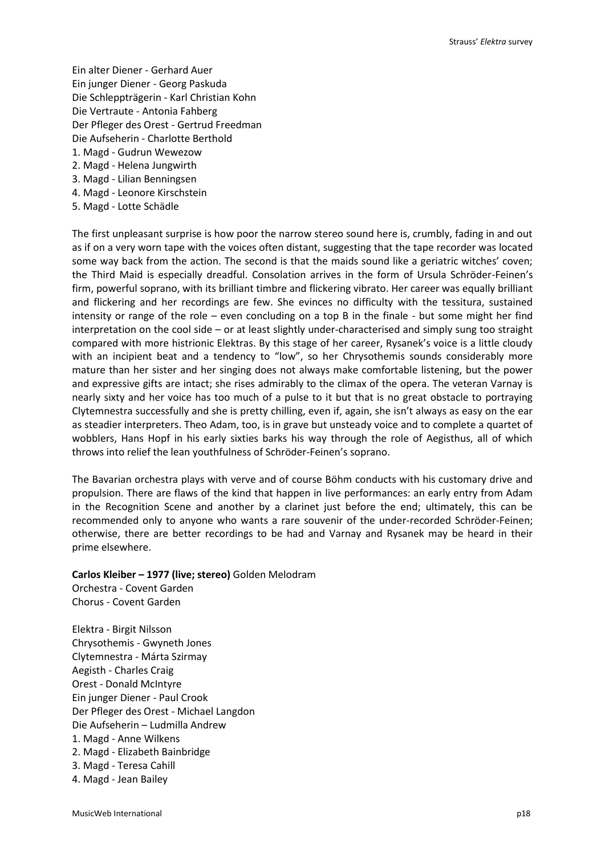Ein alter Diener - Gerhard Auer Ein junger Diener - Georg Paskuda Die Schleppträgerin - Karl Christian Kohn Die Vertraute - Antonia Fahberg Der Pfleger des Orest - Gertrud Freedman Die Aufseherin - Charlotte Berthold 1. Magd - Gudrun Wewezow 2. Magd - Helena Jungwirth 3. Magd - Lilian Benningsen

- 4. Magd Leonore Kirschstein
- 5. Magd Lotte Schädle

The first unpleasant surprise is how poor the narrow stereo sound here is, crumbly, fading in and out as if on a very worn tape with the voices often distant, suggesting that the tape recorder was located some way back from the action. The second is that the maids sound like a geriatric witches' coven; the Third Maid is especially dreadful. Consolation arrives in the form of Ursula Schröder-Feinen's firm, powerful soprano, with its brilliant timbre and flickering vibrato. Her career was equally brilliant and flickering and her recordings are few. She evinces no difficulty with the tessitura, sustained intensity or range of the role – even concluding on a top B in the finale - but some might her find interpretation on the cool side – or at least slightly under-characterised and simply sung too straight compared with more histrionic Elektras. By this stage of her career, Rysanek's voice is a little cloudy with an incipient beat and a tendency to "low", so her Chrysothemis sounds considerably more mature than her sister and her singing does not always make comfortable listening, but the power and expressive gifts are intact; she rises admirably to the climax of the opera. The veteran Varnay is nearly sixty and her voice has too much of a pulse to it but that is no great obstacle to portraying Clytemnestra successfully and she is pretty chilling, even if, again, she isn't always as easy on the ear as steadier interpreters. Theo Adam, too, is in grave but unsteady voice and to complete a quartet of wobblers, Hans Hopf in his early sixties barks his way through the role of Aegisthus, all of which throws into relief the lean youthfulness of Schröder-Feinen's soprano.

The Bavarian orchestra plays with verve and of course Böhm conducts with his customary drive and propulsion. There are flaws of the kind that happen in live performances: an early entry from Adam in the Recognition Scene and another by a clarinet just before the end; ultimately, this can be recommended only to anyone who wants a rare souvenir of the under-recorded Schröder-Feinen; otherwise, there are better recordings to be had and Varnay and Rysanek may be heard in their prime elsewhere.

#### **Carlos Kleiber – 1977 (live; stereo)** Golden Melodram

Orchestra - Covent Garden Chorus - Covent Garden

Elektra - Birgit Nilsson Chrysothemis - Gwyneth Jones Clytemnestra - Márta Szirmay Aegisth - Charles Craig Orest - Donald McIntyre Ein junger Diener - Paul Crook Der Pfleger des Orest - Michael Langdon Die Aufseherin – Ludmilla Andrew 1. Magd - Anne Wilkens 2. Magd - Elizabeth Bainbridge 3. Magd - Teresa Cahill 4. Magd - Jean Bailey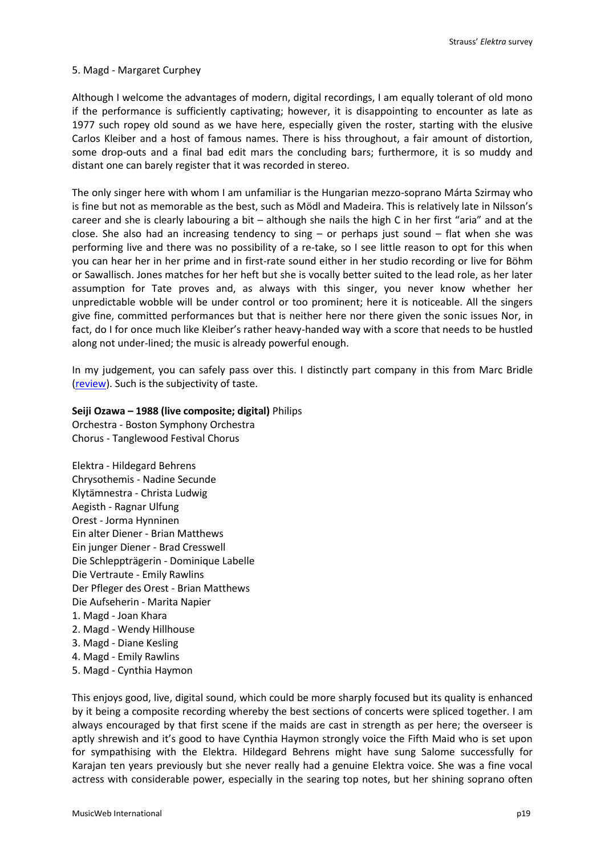# 5. Magd - Margaret Curphey

Although I welcome the advantages of modern, digital recordings, I am equally tolerant of old mono if the performance is sufficiently captivating; however, it is disappointing to encounter as late as 1977 such ropey old sound as we have here, especially given the roster, starting with the elusive Carlos Kleiber and a host of famous names. There is hiss throughout, a fair amount of distortion, some drop-outs and a final bad edit mars the concluding bars; furthermore, it is so muddy and distant one can barely register that it was recorded in stereo.

The only singer here with whom I am unfamiliar is the Hungarian mezzo-soprano Márta Szirmay who is fine but not as memorable as the best, such as Mödl and Madeira. This is relatively late in Nilsson's career and she is clearly labouring a bit – although she nails the high C in her first "aria" and at the close. She also had an increasing tendency to sing  $-$  or perhaps just sound  $-$  flat when she was performing live and there was no possibility of a re-take, so I see little reason to opt for this when you can hear her in her prime and in first-rate sound either in her studio recording or live for Böhm or Sawallisch. Jones matches for her heft but she is vocally better suited to the lead role, as her later assumption for Tate proves and, as always with this singer, you never know whether her unpredictable wobble will be under control or too prominent; here it is noticeable. All the singers give fine, committed performances but that is neither here nor there given the sonic issues Nor, in fact, do I for once much like Kleiber's rather heavy-handed way with a score that needs to be hustled along not under-lined; the music is already powerful enough.

In my judgement, you can safely pass over this. I distinctly part company in this from Marc Bridle [\(review\)](http://www.musicweb-international.com/classrev/2000/june00/elektra.htm). Such is the subjectivity of taste.

# **Seiji Ozawa – 1988 (live composite; digital)** Philips

Orchestra - Boston Symphony Orchestra Chorus - Tanglewood Festival Chorus

Elektra - Hildegard Behrens Chrysothemis - Nadine Secunde Klytämnestra - Christa Ludwig Aegisth - Ragnar Ulfung Orest - Jorma Hynninen Ein alter Diener - Brian Matthews Ein junger Diener - Brad Cresswell Die Schleppträgerin - Dominique Labelle Die Vertraute - Emily Rawlins Der Pfleger des Orest - Brian Matthews Die Aufseherin - Marita Napier 1. Magd - Joan Khara 2. Magd - Wendy Hillhouse 3. Magd - Diane Kesling 4. Magd - Emily Rawlins 5. Magd - Cynthia Haymon

This enjoys good, live, digital sound, which could be more sharply focused but its quality is enhanced by it being a composite recording whereby the best sections of concerts were spliced together. I am always encouraged by that first scene if the maids are cast in strength as per here; the overseer is aptly shrewish and it's good to have Cynthia Haymon strongly voice the Fifth Maid who is set upon for sympathising with the Elektra. Hildegard Behrens might have sung Salome successfully for Karajan ten years previously but she never really had a genuine Elektra voice. She was a fine vocal actress with considerable power, especially in the searing top notes, but her shining soprano often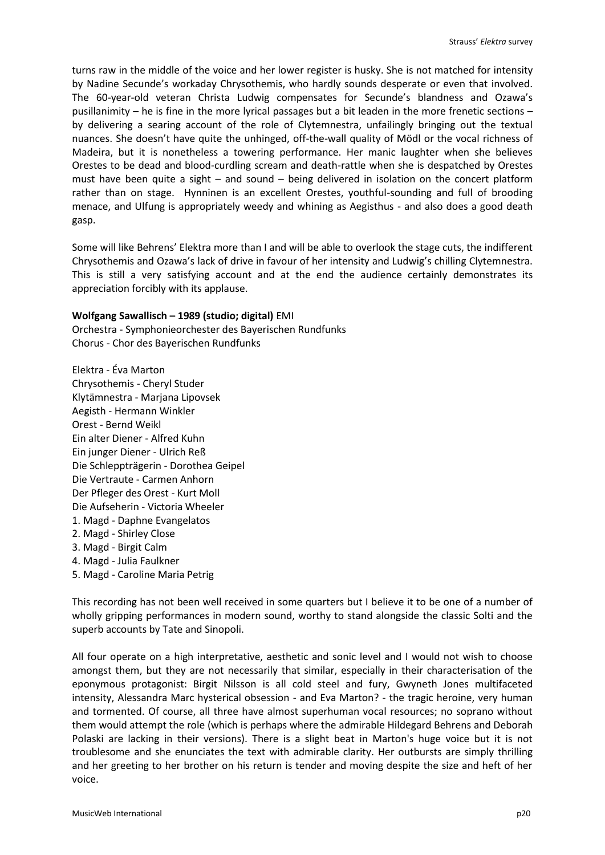turns raw in the middle of the voice and her lower register is husky. She is not matched for intensity by Nadine Secunde's workaday Chrysothemis, who hardly sounds desperate or even that involved. The 60-year-old veteran Christa Ludwig compensates for Secunde's blandness and Ozawa's pusillanimity – he is fine in the more lyrical passages but a bit leaden in the more frenetic sections – by delivering a searing account of the role of Clytemnestra, unfailingly bringing out the textual nuances. She doesn't have quite the unhinged, off-the-wall quality of Mödl or the vocal richness of Madeira, but it is nonetheless a towering performance. Her manic laughter when she believes Orestes to be dead and blood-curdling scream and death-rattle when she is despatched by Orestes must have been quite a sight – and sound – being delivered in isolation on the concert platform rather than on stage. Hynninen is an excellent Orestes, youthful-sounding and full of brooding menace, and Ulfung is appropriately weedy and whining as Aegisthus - and also does a good death gasp.

Some will like Behrens' Elektra more than I and will be able to overlook the stage cuts, the indifferent Chrysothemis and Ozawa's lack of drive in favour of her intensity and Ludwig's chilling Clytemnestra. This is still a very satisfying account and at the end the audience certainly demonstrates its appreciation forcibly with its applause.

# **Wolfgang Sawallisch – 1989 (studio; digital)** EMI

Orchestra - Symphonieorchester des Bayerischen Rundfunks Chorus - Chor des Bayerischen Rundfunks

Elektra - Éva Marton Chrysothemis - Cheryl Studer Klytämnestra - Marjana Lipovsek Aegisth - Hermann Winkler Orest - Bernd Weikl Ein alter Diener - Alfred Kuhn Ein junger Diener - Ulrich Reß Die Schleppträgerin - Dorothea Geipel Die Vertraute - Carmen Anhorn Der Pfleger des Orest - Kurt Moll Die Aufseherin - Victoria Wheeler 1. Magd - Daphne Evangelatos 2. Magd - Shirley Close 3. Magd - Birgit Calm 4. Magd - Julia Faulkner 5. Magd - Caroline Maria Petrig

This recording has not been well received in some quarters but I believe it to be one of a number of wholly gripping performances in modern sound, worthy to stand alongside the classic Solti and the superb accounts by Tate and Sinopoli.

All four operate on a high interpretative, aesthetic and sonic level and I would not wish to choose amongst them, but they are not necessarily that similar, especially in their characterisation of the eponymous protagonist: Birgit Nilsson is all cold steel and fury, Gwyneth Jones multifaceted intensity, Alessandra Marc hysterical obsession - and Eva Marton? - the tragic heroine, very human and tormented. Of course, all three have almost superhuman vocal resources; no soprano without them would attempt the role (which is perhaps where the admirable Hildegard Behrens and Deborah Polaski are lacking in their versions). There is a slight beat in Marton's huge voice but it is not troublesome and she enunciates the text with admirable clarity. Her outbursts are simply thrilling and her greeting to her brother on his return is tender and moving despite the size and heft of her voice.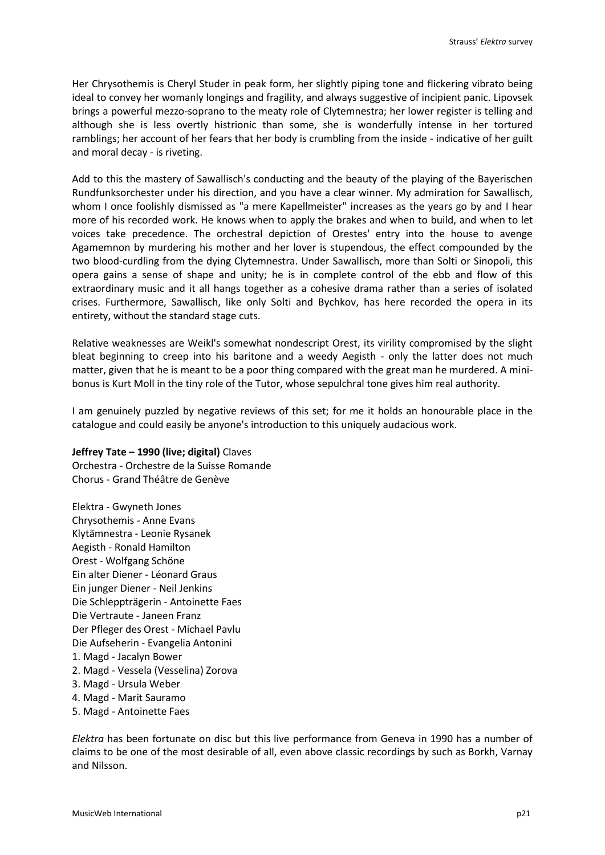Her Chrysothemis is Cheryl Studer in peak form, her slightly piping tone and flickering vibrato being ideal to convey her womanly longings and fragility, and always suggestive of incipient panic. Lipovsek brings a powerful mezzo-soprano to the meaty role of Clytemnestra; her lower register is telling and although she is less overtly histrionic than some, she is wonderfully intense in her tortured ramblings; her account of her fears that her body is crumbling from the inside - indicative of her guilt and moral decay - is riveting.

Add to this the mastery of Sawallisch's conducting and the beauty of the playing of the Bayerischen Rundfunksorchester under his direction, and you have a clear winner. My admiration for Sawallisch, whom I once foolishly dismissed as "a mere Kapellmeister" increases as the years go by and I hear more of his recorded work. He knows when to apply the brakes and when to build, and when to let voices take precedence. The orchestral depiction of Orestes' entry into the house to avenge Agamemnon by murdering his mother and her lover is stupendous, the effect compounded by the two blood-curdling from the dying Clytemnestra. Under Sawallisch, more than Solti or Sinopoli, this opera gains a sense of shape and unity; he is in complete control of the ebb and flow of this extraordinary music and it all hangs together as a cohesive drama rather than a series of isolated crises. Furthermore, Sawallisch, like only Solti and Bychkov, has here recorded the opera in its entirety, without the standard stage cuts.

Relative weaknesses are Weikl's somewhat nondescript Orest, its virility compromised by the slight bleat beginning to creep into his baritone and a weedy Aegisth - only the latter does not much matter, given that he is meant to be a poor thing compared with the great man he murdered. A minibonus is Kurt Moll in the tiny role of the Tutor, whose sepulchral tone gives him real authority.

I am genuinely puzzled by negative reviews of this set; for me it holds an honourable place in the catalogue and could easily be anyone's introduction to this uniquely audacious work.

# **Jeffrey Tate – 1990 (live; digital)** Claves

Orchestra - Orchestre de la Suisse Romande Chorus - Grand Théâtre de Genève

- Elektra Gwyneth Jones Chrysothemis - Anne Evans Klytämnestra - Leonie Rysanek Aegisth - Ronald Hamilton Orest - Wolfgang Schöne Ein alter Diener - Léonard Graus Ein junger Diener - Neil Jenkins Die Schleppträgerin - Antoinette Faes Die Vertraute - Janeen Franz Der Pfleger des Orest - Michael Pavlu Die Aufseherin - Evangelia Antonini 1. Magd - Jacalyn Bower 2. Magd - Vessela (Vesselina) Zorova 3. Magd - Ursula Weber
- 4. Magd Marit Sauramo
- 5. Magd Antoinette Faes

*Elektra* has been fortunate on disc but this live performance from Geneva in 1990 has a number of claims to be one of the most desirable of all, even above classic recordings by such as Borkh, Varnay and Nilsson.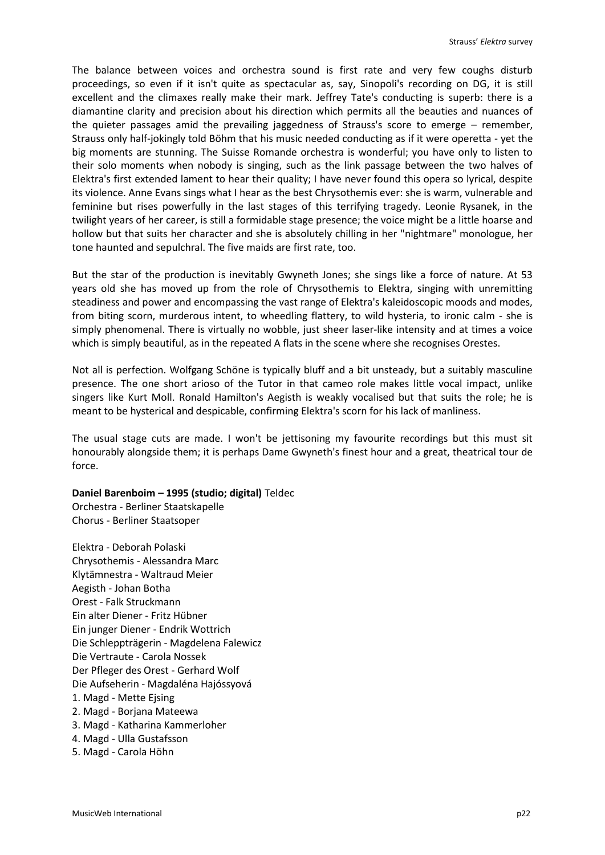The balance between voices and orchestra sound is first rate and very few coughs disturb proceedings, so even if it isn't quite as spectacular as, say, Sinopoli's recording on DG, it is still excellent and the climaxes really make their mark. Jeffrey Tate's conducting is superb: there is a diamantine clarity and precision about his direction which permits all the beauties and nuances of the quieter passages amid the prevailing jaggedness of Strauss's score to emerge – remember, Strauss only half-jokingly told Böhm that his music needed conducting as if it were operetta - yet the big moments are stunning. The Suisse Romande orchestra is wonderful; you have only to listen to their solo moments when nobody is singing, such as the link passage between the two halves of Elektra's first extended lament to hear their quality; I have never found this opera so lyrical, despite its violence. Anne Evans sings what I hear as the best Chrysothemis ever: she is warm, vulnerable and feminine but rises powerfully in the last stages of this terrifying tragedy. Leonie Rysanek, in the twilight years of her career, is still a formidable stage presence; the voice might be a little hoarse and hollow but that suits her character and she is absolutely chilling in her "nightmare" monologue, her tone haunted and sepulchral. The five maids are first rate, too.

But the star of the production is inevitably Gwyneth Jones; she sings like a force of nature. At 53 years old she has moved up from the role of Chrysothemis to Elektra, singing with unremitting steadiness and power and encompassing the vast range of Elektra's kaleidoscopic moods and modes, from biting scorn, murderous intent, to wheedling flattery, to wild hysteria, to ironic calm - she is simply phenomenal. There is virtually no wobble, just sheer laser-like intensity and at times a voice which is simply beautiful, as in the repeated A flats in the scene where she recognises Orestes.

Not all is perfection. Wolfgang Schöne is typically bluff and a bit unsteady, but a suitably masculine presence. The one short arioso of the Tutor in that cameo role makes little vocal impact, unlike singers like Kurt Moll. Ronald Hamilton's Aegisth is weakly vocalised but that suits the role; he is meant to be hysterical and despicable, confirming Elektra's scorn for his lack of manliness.

The usual stage cuts are made. I won't be jettisoning my favourite recordings but this must sit honourably alongside them; it is perhaps Dame Gwyneth's finest hour and a great, theatrical tour de force.

#### **Daniel Barenboim – 1995 (studio; digital)** Teldec

Orchestra - Berliner Staatskapelle Chorus - Berliner Staatsoper

- Elektra Deborah Polaski Chrysothemis - Alessandra Marc Klytämnestra - Waltraud Meier Aegisth - Johan Botha Orest - Falk Struckmann Ein alter Diener - Fritz Hübner Ein junger Diener - Endrik Wottrich Die Schleppträgerin - Magdelena Falewicz Die Vertraute - Carola Nossek Der Pfleger des Orest - Gerhard Wolf Die Aufseherin - Magdaléna Hajóssyová 1. Magd - Mette Ejsing 2. Magd - Borjana Mateewa 3. Magd - Katharina Kammerloher 4. Magd - Ulla Gustafsson
- 5. Magd Carola Höhn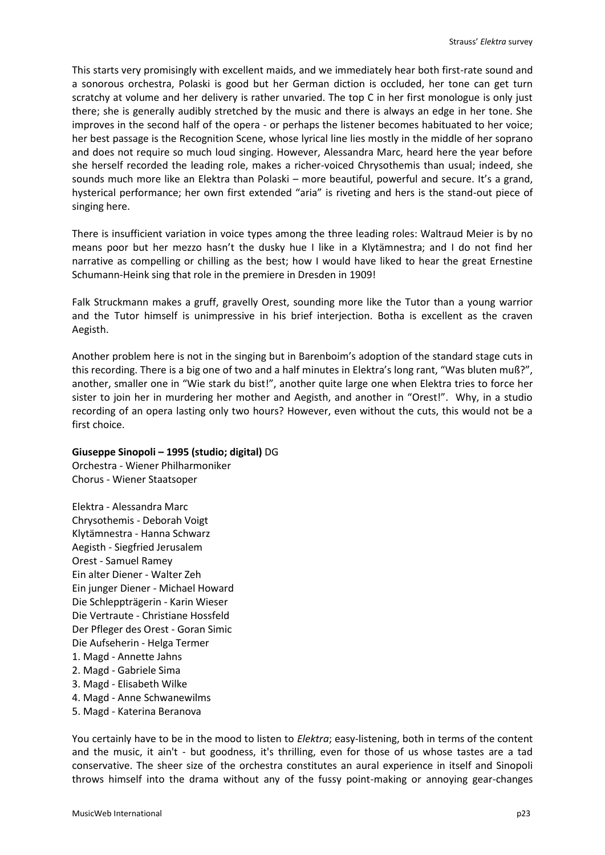This starts very promisingly with excellent maids, and we immediately hear both first-rate sound and a sonorous orchestra, Polaski is good but her German diction is occluded, her tone can get turn scratchy at volume and her delivery is rather unvaried. The top C in her first monologue is only just there; she is generally audibly stretched by the music and there is always an edge in her tone. She improves in the second half of the opera - or perhaps the listener becomes habituated to her voice; her best passage is the Recognition Scene, whose lyrical line lies mostly in the middle of her soprano and does not require so much loud singing. However, Alessandra Marc, heard here the year before she herself recorded the leading role, makes a richer-voiced Chrysothemis than usual; indeed, she sounds much more like an Elektra than Polaski – more beautiful, powerful and secure. It's a grand, hysterical performance; her own first extended "aria" is riveting and hers is the stand-out piece of singing here.

There is insufficient variation in voice types among the three leading roles: Waltraud Meier is by no means poor but her mezzo hasn't the dusky hue I like in a Klytämnestra; and I do not find her narrative as compelling or chilling as the best; how I would have liked to hear the great Ernestine Schumann-Heink sing that role in the premiere in Dresden in 1909!

Falk Struckmann makes a gruff, gravelly Orest, sounding more like the Tutor than a young warrior and the Tutor himself is unimpressive in his brief interjection. Botha is excellent as the craven Aegisth.

Another problem here is not in the singing but in Barenboim's adoption of the standard stage cuts in this recording. There is a big one of two and a half minutes in Elektra's long rant, "Was bluten muß?", another, smaller one in "Wie stark du bist!", another quite large one when Elektra tries to force her sister to join her in murdering her mother and Aegisth, and another in "Orest!". Why, in a studio recording of an opera lasting only two hours? However, even without the cuts, this would not be a first choice.

# **Giuseppe Sinopoli – 1995 (studio; digital)** DG

Orchestra - Wiener Philharmoniker Chorus - Wiener Staatsoper

- Elektra Alessandra Marc Chrysothemis - Deborah Voigt Klytämnestra - Hanna Schwarz Aegisth - Siegfried Jerusalem Orest - Samuel Ramey Ein alter Diener - Walter Zeh Ein junger Diener - Michael Howard Die Schleppträgerin - Karin Wieser Die Vertraute - Christiane Hossfeld Der Pfleger des Orest - Goran Simic Die Aufseherin - Helga Termer 1. Magd - Annette Jahns 2. Magd - Gabriele Sima 3. Magd - Elisabeth Wilke
- 4. Magd Anne Schwanewilms
- 5. Magd Katerina Beranova

You certainly have to be in the mood to listen to *Elektra*; easy-listening, both in terms of the content and the music, it ain't - but goodness, it's thrilling, even for those of us whose tastes are a tad conservative. The sheer size of the orchestra constitutes an aural experience in itself and Sinopoli throws himself into the drama without any of the fussy point-making or annoying gear-changes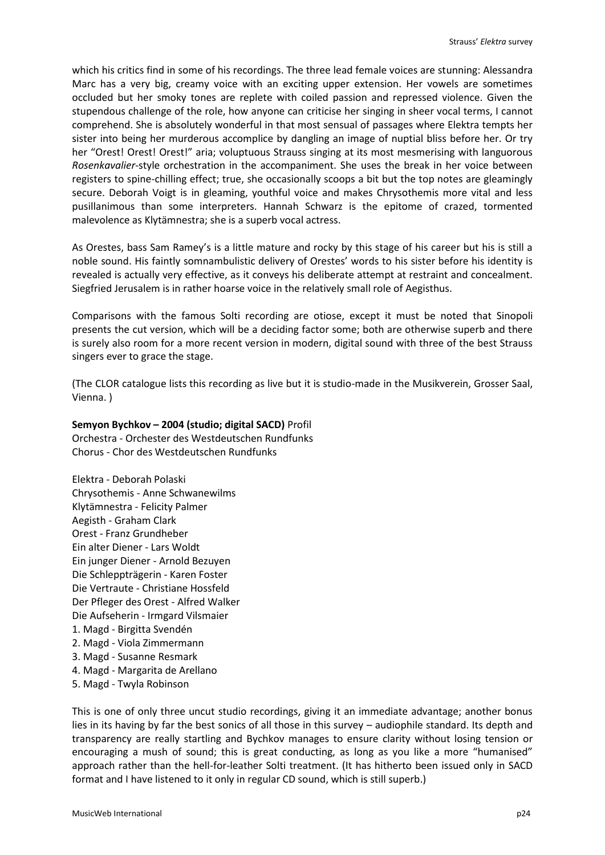which his critics find in some of his recordings. The three lead female voices are stunning: Alessandra Marc has a very big, creamy voice with an exciting upper extension. Her vowels are sometimes occluded but her smoky tones are replete with coiled passion and repressed violence. Given the stupendous challenge of the role, how anyone can criticise her singing in sheer vocal terms, I cannot comprehend. She is absolutely wonderful in that most sensual of passages where Elektra tempts her sister into being her murderous accomplice by dangling an image of nuptial bliss before her. Or try her "Orest! Orest! Orest!" aria; voluptuous Strauss singing at its most mesmerising with languorous *Rosenkavalier*-style orchestration in the accompaniment. She uses the break in her voice between registers to spine-chilling effect; true, she occasionally scoops a bit but the top notes are gleamingly secure. Deborah Voigt is in gleaming, youthful voice and makes Chrysothemis more vital and less pusillanimous than some interpreters. Hannah Schwarz is the epitome of crazed, tormented malevolence as Klytämnestra; she is a superb vocal actress.

As Orestes, bass Sam Ramey's is a little mature and rocky by this stage of his career but his is still a noble sound. His faintly somnambulistic delivery of Orestes' words to his sister before his identity is revealed is actually very effective, as it conveys his deliberate attempt at restraint and concealment. Siegfried Jerusalem is in rather hoarse voice in the relatively small role of Aegisthus.

Comparisons with the famous Solti recording are otiose, except it must be noted that Sinopoli presents the cut version, which will be a deciding factor some; both are otherwise superb and there is surely also room for a more recent version in modern, digital sound with three of the best Strauss singers ever to grace the stage.

(The CLOR catalogue lists this recording as live but it is studio-made in the Musikverein, Grosser Saal, Vienna. )

# **Semyon Bychkov – 2004 (studio; digital SACD)** Profil

Orchestra - Orchester des Westdeutschen Rundfunks Chorus - Chor des Westdeutschen Rundfunks

Elektra - Deborah Polaski Chrysothemis - Anne Schwanewilms Klytämnestra - Felicity Palmer Aegisth - Graham Clark Orest - Franz Grundheber Ein alter Diener - Lars Woldt Ein junger Diener - Arnold Bezuyen Die Schleppträgerin - Karen Foster Die Vertraute - Christiane Hossfeld Der Pfleger des Orest - Alfred Walker Die Aufseherin - Irmgard Vilsmaier 1. Magd - Birgitta Svendén 2. Magd - Viola Zimmermann 3. Magd - Susanne Resmark 4. Magd - Margarita de Arellano 5. Magd - Twyla Robinson

This is one of only three uncut studio recordings, giving it an immediate advantage; another bonus lies in its having by far the best sonics of all those in this survey – audiophile standard. Its depth and transparency are really startling and Bychkov manages to ensure clarity without losing tension or encouraging a mush of sound; this is great conducting, as long as you like a more "humanised" approach rather than the hell-for-leather Solti treatment. (It has hitherto been issued only in SACD format and I have listened to it only in regular CD sound, which is still superb.)